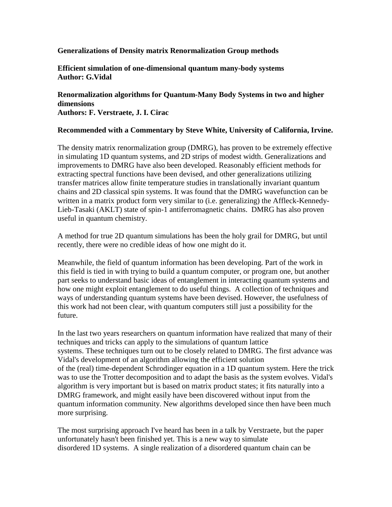## **Generalizations of Density matrix Renormalization Group methods**

**Efficient simulation of one-dimensional quantum many-body systems Author: G.Vidal**

**Renormalization algorithms for Quantum-Many Body Systems in two and higher dimensions Authors: F. Verstraete, J. I. Cirac**

## **Recommended with a Commentary by Steve White, University of California, Irvine.**

The density matrix renormalization group (DMRG), has proven to be extremely effective in simulating 1D quantum systems, and 2D strips of modest width. Generalizations and improvements to DMRG have also been developed. Reasonably efficient methods for extracting spectral functions have been devised, and other generalizations utilizing transfer matrices allow finite temperature studies in translationally invariant quantum chains and 2D classical spin systems. It was found that the DMRG wavefunction can be written in a matrix product form very similar to (i.e. generalizing) the Affleck-Kennedy-Lieb-Tasaki (AKLT) state of spin-1 antiferromagnetic chains. DMRG has also proven useful in quantum chemistry.

A method for true 2D quantum simulations has been the holy grail for DMRG, but until recently, there were no credible ideas of how one might do it.

Meanwhile, the field of quantum information has been developing. Part of the work in this field is tied in with trying to build a quantum computer, or program one, but another part seeks to understand basic ideas of entanglement in interacting quantum systems and how one might exploit entanglement to do useful things. A collection of techniques and ways of understanding quantum systems have been devised. However, the usefulness of this work had not been clear, with quantum computers still just a possibility for the future.

In the last two years researchers on quantum information have realized that many of their techniques and tricks can apply to the simulations of quantum lattice systems. These techniques turn out to be closely related to DMRG. The first advance was Vidal's development of an algorithm allowing the efficient solution of the (real) time-dependent Schrodinger equation in a 1D quantum system. Here the trick was to use the Trotter decomposition and to adapt the basis as the system evolves. Vidal's algorithm is very important but is based on matrix product states; it fits naturally into a DMRG framework, and might easily have been discovered without input from the quantum information community. New algorithms developed since then have been much more surprising.

The most surprising approach I've heard has been in a talk by Verstraete, but the paper unfortunately hasn't been finished yet. This is a new way to simulate disordered 1D systems. A single realization of a disordered quantum chain can be